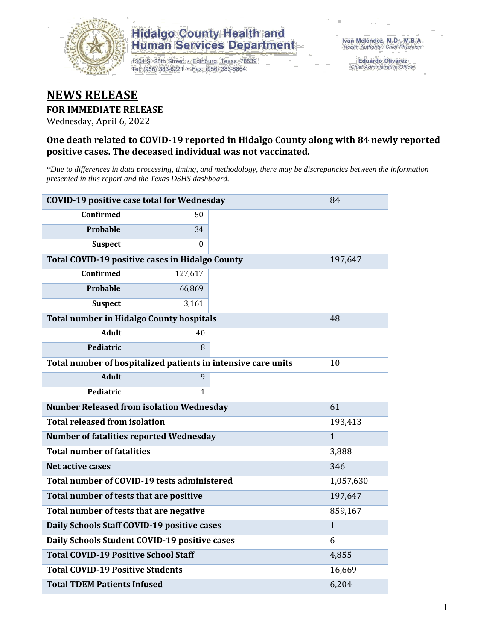

## **Hidalgo County Health and Human Services Department**

1304 S. 25th Street · Edinburg, Texas 78539 Tel: (956) 383-6221 · Fax: (956) 383-8864

**Eduardo Olivarez** Chief Administrative Officer

# **NEWS RELEASE**

### **FOR IMMEDIATE RELEASE**

Wednesday, April 6, 2022

#### **One death related to COVID-19 reported in Hidalgo County along with 84 newly reported positive cases. The deceased individual was not vaccinated.**

*\*Due to differences in data processing, timing, and methodology, there may be discrepancies between the information presented in this report and the Texas DSHS dashboard.*

| <b>COVID-19 positive case total for Wednesday</b><br>84       |                                                 |  |         |  |  |
|---------------------------------------------------------------|-------------------------------------------------|--|---------|--|--|
| <b>Confirmed</b>                                              | 50                                              |  |         |  |  |
| Probable                                                      | 34                                              |  |         |  |  |
| <b>Suspect</b>                                                | $\Omega$                                        |  |         |  |  |
|                                                               | Total COVID-19 positive cases in Hidalgo County |  | 197,647 |  |  |
| Confirmed                                                     | 127,617                                         |  |         |  |  |
| Probable                                                      | 66,869                                          |  |         |  |  |
| <b>Suspect</b>                                                | 3,161                                           |  |         |  |  |
| <b>Total number in Hidalgo County hospitals</b>               | 48                                              |  |         |  |  |
| <b>Adult</b>                                                  | 40                                              |  |         |  |  |
| Pediatric                                                     | 8                                               |  |         |  |  |
| Total number of hospitalized patients in intensive care units | 10                                              |  |         |  |  |
| <b>Adult</b>                                                  | 9                                               |  |         |  |  |
| Pediatric                                                     | 1                                               |  |         |  |  |
| <b>Number Released from isolation Wednesday</b>               | 61                                              |  |         |  |  |
| <b>Total released from isolation</b><br>193,413               |                                                 |  |         |  |  |
| <b>Number of fatalities reported Wednesday</b>                | $\mathbf{1}$                                    |  |         |  |  |
| <b>Total number of fatalities</b>                             | 3,888                                           |  |         |  |  |
| Net active cases                                              | 346                                             |  |         |  |  |
| Total number of COVID-19 tests administered                   | 1,057,630                                       |  |         |  |  |
| Total number of tests that are positive                       | 197,647                                         |  |         |  |  |
| Total number of tests that are negative                       | 859,167                                         |  |         |  |  |
| Daily Schools Staff COVID-19 positive cases                   | $\mathbf{1}$                                    |  |         |  |  |
| Daily Schools Student COVID-19 positive cases                 | 6                                               |  |         |  |  |
| <b>Total COVID-19 Positive School Staff</b>                   | 4,855                                           |  |         |  |  |
| <b>Total COVID-19 Positive Students</b>                       | 16,669                                          |  |         |  |  |
| <b>Total TDEM Patients Infused</b>                            | 6,204                                           |  |         |  |  |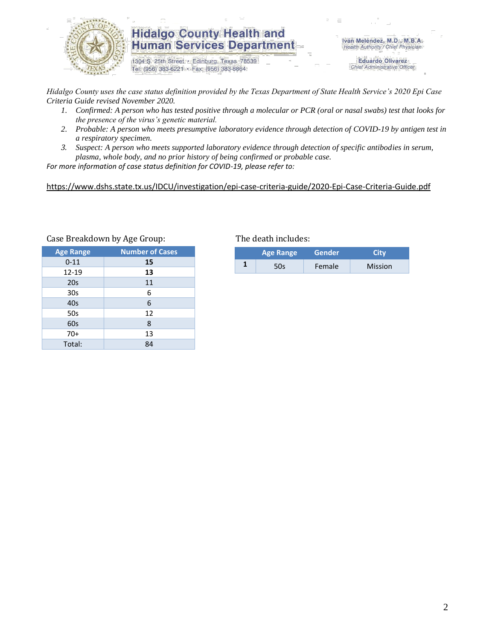

### **Hidalgo County Health and Human Services Department**

1304 S. 25th Street · Edinburg, Texas 78539 Tel: (956) 383-6221 · Fax: (956) 383-8864

Iván Meléndez, M.D., M.B.A. Health Authority / Chief Physician

> **Eduardo Olivarez** Chief Administrative Officer

*Hidalgo County uses the case status definition provided by the Texas Department of State Health Service's 2020 Epi Case Criteria Guide revised November 2020.*

- *1. Confirmed: A person who has tested positive through a molecular or PCR (oral or nasal swabs) test that looks for the presence of the virus's genetic material.*
- *2. Probable: A person who meets presumptive laboratory evidence through detection of COVID-19 by antigen test in a respiratory specimen.*
- *3. Suspect: A person who meets supported laboratory evidence through detection of specific antibodies in serum, plasma, whole body, and no prior history of being confirmed or probable case.*

*For more information of case status definition for COVID-19, please refer to:*

<https://www.dshs.state.tx.us/IDCU/investigation/epi-case-criteria-guide/2020-Epi-Case-Criteria-Guide.pdf>

| <b>Age Range</b> | <b>Number of Cases</b> |
|------------------|------------------------|
| $0 - 11$         | 15                     |
| 12-19            | 13                     |
| 20s              | 11                     |
| 30 <sub>s</sub>  | 6                      |
| 40s              | 6                      |
| 50s              | 12                     |
| 60s              | 8                      |
| $70+$            | 13                     |
| Total:           | 84                     |

#### Case Breakdown by Age Group: The death includes:

| <b>Age Range</b> | <b>Gender</b> |                |  |
|------------------|---------------|----------------|--|
| 50s              | Female        | <b>Mission</b> |  |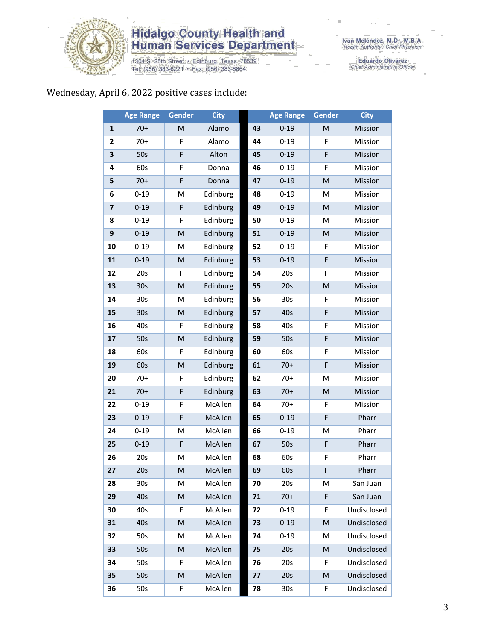

# **Hidalgo County Health and<br>Human Services Department**

1304 S. 25th Street • Edinburg, Texas 78539<br>Tel: (956) 383-6221 • Fax: (956) 383-8864

Eduardo Olivarez<br>Chief Administrative Officer

# Wednesday, April 6, 2022 positive cases include:

|                         | <b>Age Range</b> | Gender | <b>City</b> |    | <b>Age Range</b> | <b>Gender</b> | <b>City</b> |
|-------------------------|------------------|--------|-------------|----|------------------|---------------|-------------|
| $\mathbf 1$             | $70+$            | M      | Alamo       | 43 | $0 - 19$         | M             | Mission     |
| $\mathbf{2}$            | $70+$            | F      | Alamo       | 44 | $0 - 19$         | F             | Mission     |
| 3                       | 50s              | F      | Alton       | 45 | $0 - 19$         | F             | Mission     |
| 4                       | 60s              | F      | Donna       | 46 | $0 - 19$         | F             | Mission     |
| 5                       | $70+$            | F      | Donna       | 47 | $0 - 19$         | M             | Mission     |
| 6                       | $0 - 19$         | M      | Edinburg    | 48 | $0 - 19$         | M             | Mission     |
| $\overline{\mathbf{z}}$ | $0 - 19$         | F      | Edinburg    | 49 | $0 - 19$         | M             | Mission     |
| 8                       | $0 - 19$         | F      | Edinburg    | 50 | $0 - 19$         | M             | Mission     |
| 9                       | $0 - 19$         | M      | Edinburg    | 51 | $0 - 19$         | M             | Mission     |
| 10                      | $0 - 19$         | M      | Edinburg    | 52 | $0 - 19$         | F             | Mission     |
| 11                      | $0 - 19$         | M      | Edinburg    | 53 | $0 - 19$         | F             | Mission     |
| 12                      | 20s              | F      | Edinburg    | 54 | 20s              | F             | Mission     |
| 13                      | 30 <sub>s</sub>  | M      | Edinburg    | 55 | 20s              | M             | Mission     |
| 14                      | 30 <sub>s</sub>  | M      | Edinburg    | 56 | 30 <sub>s</sub>  | F             | Mission     |
| 15                      | 30 <sub>s</sub>  | M      | Edinburg    | 57 | 40s              | F             | Mission     |
| 16                      | 40s              | F      | Edinburg    | 58 | 40s              | F             | Mission     |
| 17                      | 50s              | M      | Edinburg    | 59 | 50s              | F             | Mission     |
| 18                      | 60s              | F      | Edinburg    | 60 | 60s              | F             | Mission     |
| 19                      | 60s              | M      | Edinburg    | 61 | $70+$            | F             | Mission     |
| 20                      | $70+$            | F      | Edinburg    | 62 | $70+$            | M             | Mission     |
| 21                      | $70+$            | F      | Edinburg    | 63 | $70+$            | ${\sf M}$     | Mission     |
| 22                      | $0 - 19$         | F      | McAllen     | 64 | $70+$            | F             | Mission     |
| 23                      | $0 - 19$         | F      | McAllen     | 65 | $0 - 19$         | F             | Pharr       |
| 24                      | $0 - 19$         | M      | McAllen     | 66 | $0 - 19$         | M             | Pharr       |
| 25                      | $0 - 19$         | F      | McAllen     | 67 | 50s              | F             | Pharr       |
| 26                      | 20s              | M      | McAllen     | 68 | 60s              | F             | Pharr       |
| 27                      | 20s              | M      | McAllen     | 69 | 60s              | F             | Pharr       |
| 28                      | 30 <sub>s</sub>  | М      | McAllen     | 70 | 20s              | М             | San Juan    |
| 29                      | 40s              | M      | McAllen     | 71 | $70+$            | F             | San Juan    |
| 30                      | 40s              | F      | McAllen     | 72 | $0 - 19$         | F             | Undisclosed |
| 31                      | 40s              | M      | McAllen     | 73 | $0 - 19$         | M             | Undisclosed |
| 32                      | 50s              | M      | McAllen     | 74 | $0 - 19$         | M             | Undisclosed |
| 33                      | 50s              | M      | McAllen     | 75 | 20s              | M             | Undisclosed |
| 34                      | 50s              | F      | McAllen     | 76 | 20s              | F             | Undisclosed |
| 35                      | 50s              | M      | McAllen     | 77 | 20s              | M             | Undisclosed |
| 36                      | 50s              | F      | McAllen     | 78 | 30s              | F             | Undisclosed |